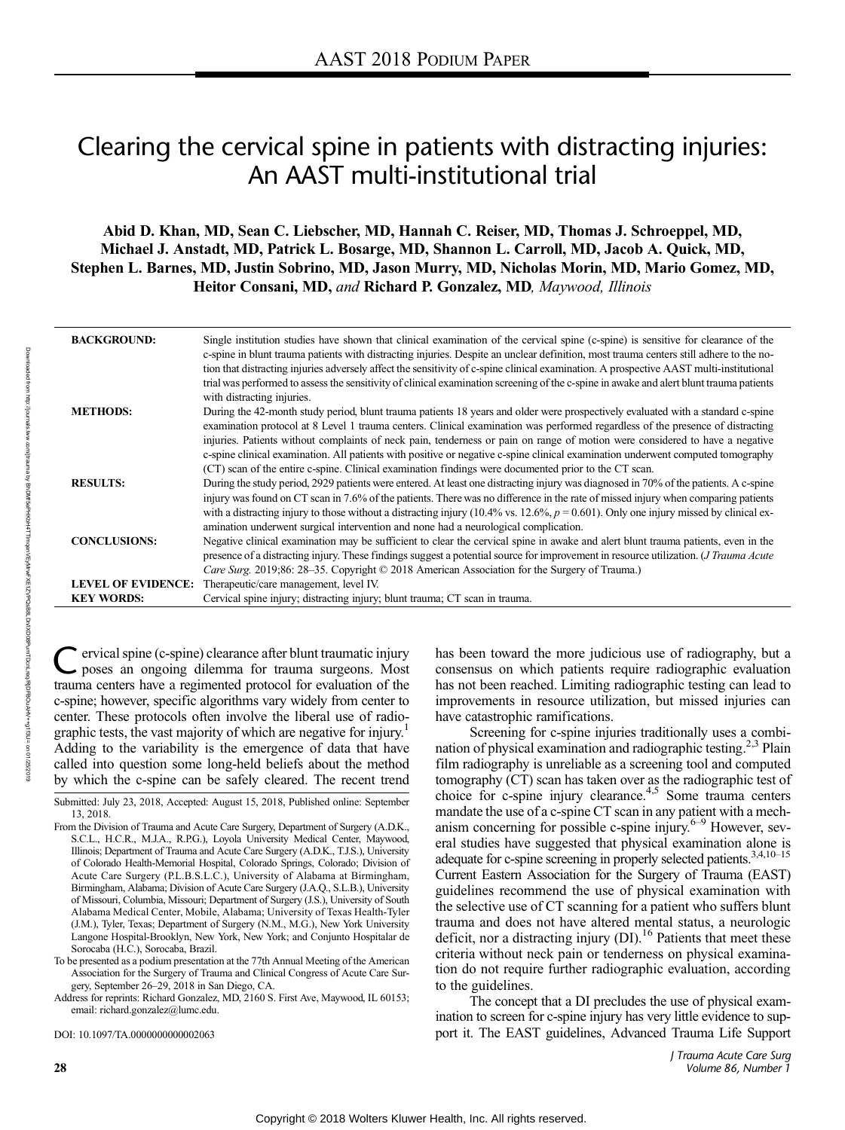# Clearing the cervical spine in patients with distracting injuries: An AAST multi-institutional trial

Abid D. Khan, MD, Sean C. Liebscher, MD, Hannah C. Reiser, MD, Thomas J. Schroeppel, MD, Michael J. Anstadt, MD, Patrick L. Bosarge, MD, Shannon L. Carroll, MD, Jacob A. Quick, MD, Stephen L. Barnes, MD, Justin Sobrino, MD, Jason Murry, MD, Nicholas Morin, MD, Mario Gomez, MD, Heitor Consani, MD, and Richard P. Gonzalez, MD, Maywood, Illinois

| <b>BACKGROUND:</b>                             | Single institution studies have shown that clinical examination of the cervical spine (c-spine) is sensitive for clearance of the<br>c-spine in blunt trauma patients with distracting injuries. Despite an unclear definition, most trauma centers still adhere to the no-<br>tion that distracting injuries adversely affect the sensitivity of c-spine clinical examination. A prospective AAST multi-institutional<br>trial was performed to assess the sensitivity of clinical examination screening of the c-spine in awake and alert blunt trauma patients<br>with distracting injuries.                                              |
|------------------------------------------------|----------------------------------------------------------------------------------------------------------------------------------------------------------------------------------------------------------------------------------------------------------------------------------------------------------------------------------------------------------------------------------------------------------------------------------------------------------------------------------------------------------------------------------------------------------------------------------------------------------------------------------------------|
| <b>METHODS:</b>                                | During the 42-month study period, blunt trauma patients 18 years and older were prospectively evaluated with a standard c-spine<br>examination protocol at 8 Level 1 trauma centers. Clinical examination was performed regardless of the presence of distracting<br>injuries. Patients without complaints of neck pain, tenderness or pain on range of motion were considered to have a negative<br>c-spine clinical examination. All patients with positive or negative c-spine clinical examination underwent computed tomography<br>(CT) scan of the entire c-spine. Clinical examination findings were documented prior to the CT scan. |
| <b>RESULTS:</b>                                | During the study period, 2929 patients were entered. At least one distracting injury was diagnosed in 70% of the patients. A c-spine<br>injury was found on CT scan in 7.6% of the patients. There was no difference in the rate of missed injury when comparing patients<br>with a distracting injury to those without a distracting injury (10.4% vs. 12.6%, $p = 0.601$ ). Only one injury missed by clinical ex-<br>amination underwent surgical intervention and none had a neurological complication.                                                                                                                                  |
| <b>CONCLUSIONS:</b>                            | Negative clinical examination may be sufficient to clear the cervical spine in awake and alert blunt trauma patients, even in the<br>presence of a distracting injury. These findings suggest a potential source for improvement in resource utilization. ( <i>J Trauma Acute</i><br>Care Surg. 2019:86: 28–35. Copyright © 2018 American Association for the Surgery of Trauma.)                                                                                                                                                                                                                                                            |
| <b>LEVEL OF EVIDENCE:</b><br><b>KEY WORDS:</b> | Therapeutic/care management, level IV.<br>Cervical spine injury; distracting injury; blunt trauma; CT scan in trauma.                                                                                                                                                                                                                                                                                                                                                                                                                                                                                                                        |
|                                                |                                                                                                                                                                                                                                                                                                                                                                                                                                                                                                                                                                                                                                              |

Cervical spine (c-spine) clearance after blunt traumatic injury<br>poses an ongoing dilemma for trauma surgeons. Most trauma centers have a regimented protocol for evaluation of the c-spine; however, specific algorithms vary widely from center to center. These protocols often involve the liberal use of radiographic tests, the vast majority of which are negative for injury.<sup>1</sup> Adding to the variability is the emergence of data that have called into question some long-held beliefs about the method by which the c-spine can be safely cleared. The recent trend

DOI: 10.1097/TA.0000000000002063

has been toward the more judicious use of radiography, but a consensus on which patients require radiographic evaluation has not been reached. Limiting radiographic testing can lead to improvements in resource utilization, but missed injuries can have catastrophic ramifications.

Screening for c-spine injuries traditionally uses a combination of physical examination and radiographic testing.<sup>2,3</sup> Plain film radiography is unreliable as a screening tool and computed tomography (CT) scan has taken over as the radiographic test of choice for c-spine injury clearance. $4,5$  Some trauma centers mandate the use of a c-spine CT scan in any patient with a mechanism concerning for possible c-spine injury. $6-9$  However, several studies have suggested that physical examination alone is adequate for c-spine screening in properly selected patients.<sup>3,4,10-15</sup> Current Eastern Association for the Surgery of Trauma (EAST) guidelines recommend the use of physical examination with the selective use of CT scanning for a patient who suffers blunt trauma and does not have altered mental status, a neurologic deficit, nor a distracting injury  $(DI)$ .<sup>16</sup> Patients that meet these criteria without neck pain or tenderness on physical examination do not require further radiographic evaluation, according to the guidelines.

The concept that a DI precludes the use of physical examination to screen for c-spine injury has very little evidence to support it. The EAST guidelines, Advanced Trauma Life Support

Submitted: July 23, 2018, Accepted: August 15, 2018, Published online: September 13, 2018.

From the Division of Trauma and Acute Care Surgery, Department of Surgery (A.D.K., S.C.L., H.C.R., M.J.A., R.P.G.), Loyola University Medical Center, Maywood, Illinois; Department of Trauma and Acute Care Surgery (A.D.K., T.J.S.), University of Colorado Health-Memorial Hospital, Colorado Springs, Colorado; Division of Acute Care Surgery (P.L.B.S.L.C.), University of Alabama at Birmingham, Birmingham, Alabama; Division of Acute Care Surgery (J.A.Q., S.L.B.), University of Missouri, Columbia, Missouri; Department of Surgery (J.S.), University of South Alabama Medical Center, Mobile, Alabama; University of Texas Health-Tyler (J.M.), Tyler, Texas; Department of Surgery (N.M., M.G.), New York University Langone Hospital-Brooklyn, New York, New York; and Conjunto Hospitalar de Sorocaba (H.C.), Sorocaba, Brazil.

To be presented as a podium presentation at the 77th Annual Meeting of the American Association for the Surgery of Trauma and Clinical Congress of Acute Care Surgery, September 26–29, 2018 in San Diego, CA.

Address for reprints: Richard Gonzalez, MD, 2160 S. First Ave, Maywood, IL 60153; email: [richard.gonzalez@lumc.edu](mailto:richard.gonzalez@lumc.edu).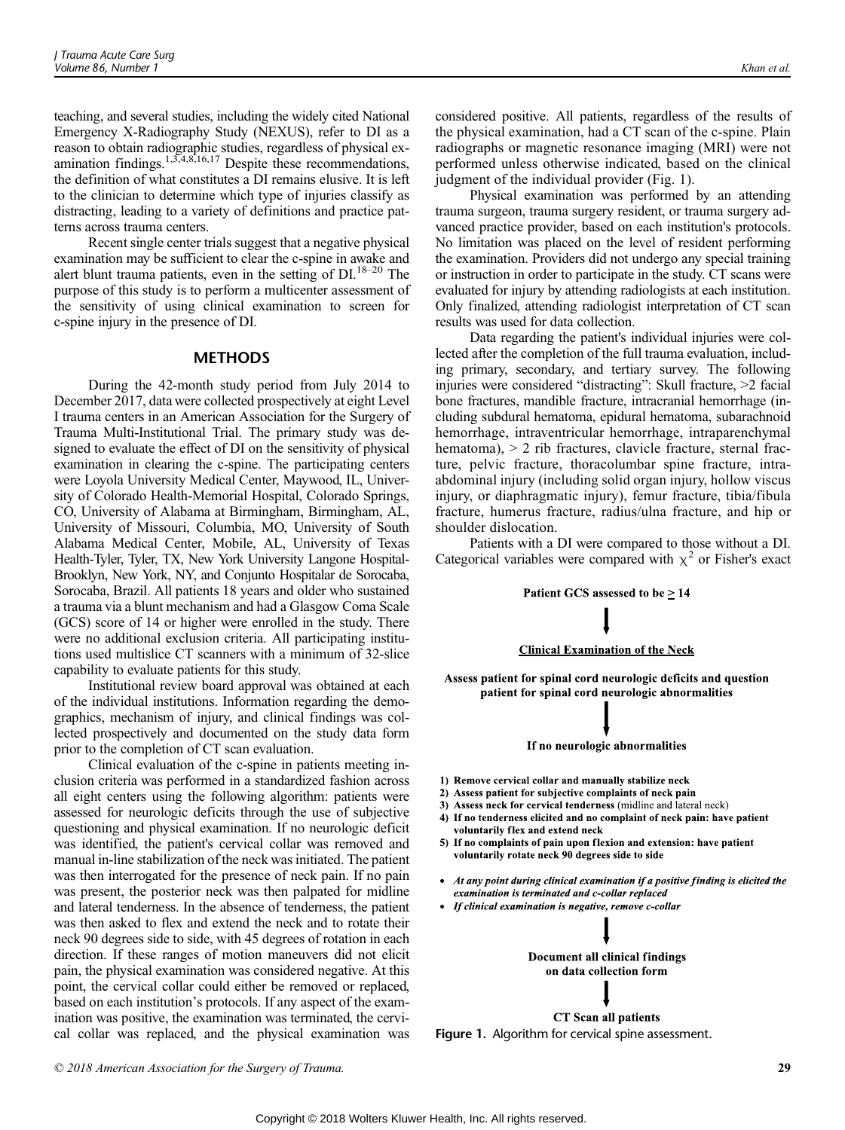teaching, and several studies, including the widely cited National Emergency X-Radiography Study (NEXUS), refer to DI as a reason to obtain radiographic studies, regardless of physical examination findings.<sup>1,3,4,8,16,17</sup> Despite these recommendations, the definition of what constitutes a DI remains elusive. It is left to the clinician to determine which type of injuries classify as distracting, leading to a variety of definitions and practice patterns across trauma centers.

Recent single center trials suggest that a negative physical examination may be sufficient to clear the c-spine in awake and alert blunt trauma patients, even in the setting of  $DI$ .<sup>18-20</sup> The purpose of this study is to perform a multicenter assessment of the sensitivity of using clinical examination to screen for c-spine injury in the presence of DI.

## **METHODS**

During the 42-month study period from July 2014 to December 2017, data were collected prospectively at eight Level I trauma centers in an American Association for the Surgery of Trauma Multi-Institutional Trial. The primary study was designed to evaluate the effect of DI on the sensitivity of physical examination in clearing the c-spine. The participating centers were Loyola University Medical Center, Maywood, IL, University of Colorado Health-Memorial Hospital, Colorado Springs, CO, University of Alabama at Birmingham, Birmingham, AL, University of Missouri, Columbia, MO, University of South Alabama Medical Center, Mobile, AL, University of Texas Health-Tyler, Tyler, TX, New York University Langone Hospital-Brooklyn, New York, NY, and Conjunto Hospitalar de Sorocaba, Sorocaba, Brazil. All patients 18 years and older who sustained a trauma via a blunt mechanism and had a Glasgow Coma Scale (GCS) score of 14 or higher were enrolled in the study. There were no additional exclusion criteria. All participating institutions used multislice CT scanners with a minimum of 32-slice capability to evaluate patients for this study.

Institutional review board approval was obtained at each of the individual institutions. Information regarding the demographics, mechanism of injury, and clinical findings was collected prospectively and documented on the study data form prior to the completion of CT scan evaluation.

Clinical evaluation of the c-spine in patients meeting inclusion criteria was performed in a standardized fashion across all eight centers using the following algorithm: patients were assessed for neurologic deficits through the use of subjective questioning and physical examination. If no neurologic deficit was identified, the patient's cervical collar was removed and manual in-line stabilization of the neck was initiated. The patient was then interrogated for the presence of neck pain. If no pain was present, the posterior neck was then palpated for midline and lateral tenderness. In the absence of tenderness, the patient was then asked to flex and extend the neck and to rotate their neck 90 degrees side to side, with 45 degrees of rotation in each direction. If these ranges of motion maneuvers did not elicit pain, the physical examination was considered negative. At this point, the cervical collar could either be removed or replaced, based on each institution's protocols. If any aspect of the examination was positive, the examination was terminated, the cervical collar was replaced, and the physical examination was

considered positive. All patients, regardless of the results of the physical examination, had a CT scan of the c-spine. Plain radiographs or magnetic resonance imaging (MRI) were not performed unless otherwise indicated, based on the clinical judgment of the individual provider (Fig. 1).

Physical examination was performed by an attending trauma surgeon, trauma surgery resident, or trauma surgery advanced practice provider, based on each institution's protocols. No limitation was placed on the level of resident performing the examination. Providers did not undergo any special training or instruction in order to participate in the study. CT scans were evaluated for injury by attending radiologists at each institution. Only finalized, attending radiologist interpretation of CT scan results was used for data collection.

Data regarding the patient's individual injuries were collected after the completion of the full trauma evaluation, including primary, secondary, and tertiary survey. The following injuries were considered "distracting": Skull fracture, >2 facial bone fractures, mandible fracture, intracranial hemorrhage (including subdural hematoma, epidural hematoma, subarachnoid hemorrhage, intraventricular hemorrhage, intraparenchymal hematoma),  $> 2$  rib fractures, clavicle fracture, sternal fracture, pelvic fracture, thoracolumbar spine fracture, intraabdominal injury (including solid organ injury, hollow viscus injury, or diaphragmatic injury), femur fracture, tibia/fibula fracture, humerus fracture, radius/ulna fracture, and hip or shoulder dislocation.

Patients with a DI were compared to those without a DI. Categorical variables were compared with  $\chi^2$  or Fisher's exact

### Patient GCS assessed to be  $\geq$  14

## **Clinical Examination of the Neck**

Assess patient for spinal cord neurologic deficits and question patient for spinal cord neurologic abnormalities

### If no neurologic abnormalities

- 1) Remove cervical collar and manually stabilize neck
- 2) Assess patient for subjective complaints of neck pain
- 3) Assess neck for cervical tenderness (midline and lateral neck)
- 4) If no tenderness elicited and no complaint of neck pain: have patient voluntarily flex and extend neck
- 5) If no complaints of pain upon flexion and extension: have patient voluntarily rotate neck 90 degrees side to side
- At any point during clinical examination if a positive finding is elicited the examination is terminated and c-collar replaced
- If clinical examination is negative, remove c-collar

**Document all clinical findings** on data collection form



© 2018 American Association for the Surgery of Trauma. 29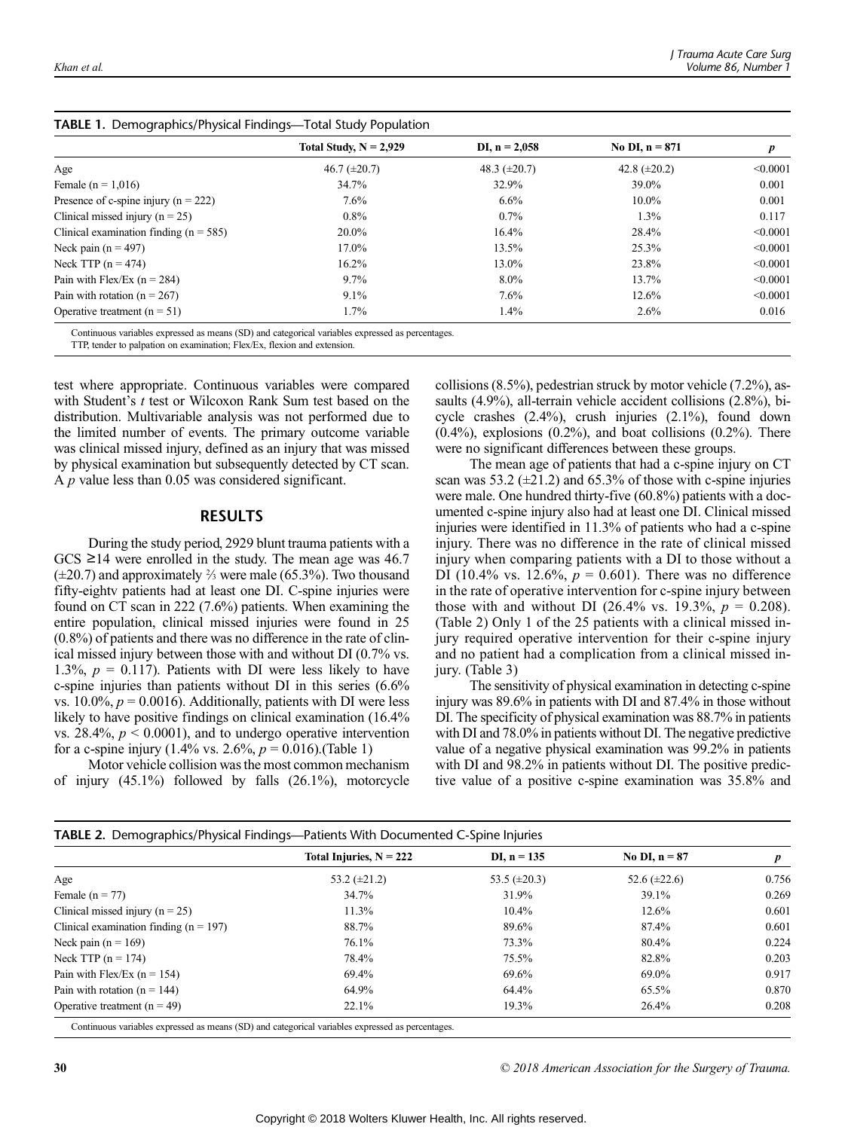|                                          | Total Study, $N = 2,929$ | DI, $n = 2,058$   | No DI, $n = 871$  | p        |  |
|------------------------------------------|--------------------------|-------------------|-------------------|----------|--|
| Age                                      | 46.7 $(\pm 20.7)$        | 48.3 $(\pm 20.7)$ | 42.8 $(\pm 20.2)$ | < 0.0001 |  |
| Female ( $n = 1,016$ )                   | 34.7%                    | 32.9%             | 39.0%             | 0.001    |  |
| Presence of c-spine injury ( $n = 222$ ) | 7.6%                     | $6.6\%$           | $10.0\%$          | 0.001    |  |
| Clinical missed injury ( $n = 25$ )      | $0.8\%$                  | $0.7\%$           | $1.3\%$           | 0.117    |  |
| Clinical examination finding $(n = 585)$ | 20.0%                    | 16.4%             | 28.4%             | < 0.0001 |  |
| Neck pain $(n = 497)$                    | 17.0%                    | 13.5%             | 25.3%             | < 0.0001 |  |
| Neck TTP $(n = 474)$                     | 16.2%                    | 13.0%             | 23.8%             | < 0.0001 |  |
| Pain with Flex/Ex $(n = 284)$            | $9.7\%$                  | $8.0\%$           | 13.7%             | < 0.0001 |  |
| Pain with rotation $(n = 267)$           | $9.1\%$                  | $7.6\%$           | 12.6%             | < 0.0001 |  |
| Operative treatment $(n = 51)$           | 1.7%                     | $1.4\%$           | $2.6\%$           | 0.016    |  |

| <b>TABLE 1.</b> Demographics/Physical Findings—Total Study Population |  |  |  |  |  |
|-----------------------------------------------------------------------|--|--|--|--|--|
|-----------------------------------------------------------------------|--|--|--|--|--|

Continuous variables expressed as means (SD) and categorical variables expressed as percentages.

TTP, tender to palpation on examination; Flex/Ex, flexion and extension.

test where appropriate. Continuous variables were compared with Student's *t* test or Wilcoxon Rank Sum test based on the distribution. Multivariable analysis was not performed due to the limited number of events. The primary outcome variable was clinical missed injury, defined as an injury that was missed by physical examination but subsequently detected by CT scan. A p value less than 0.05 was considered significant.

# **RESULTS**

RESULTS During the study period, 2929 blunt trauma patients with a  $GCS \geq 14$  were enrolled in the study. The mean age was 46.7 (±20.7) and approximately ⅔ were male (65.3%). Two thousand fifty-eightv patients had at least one DI. C-spine injuries were found on CT scan in 222 (7.6%) patients. When examining the entire population, clinical missed injuries were found in 25 (0.8%) of patients and there was no difference in the rate of clinical missed injury between those with and without DI (0.7% vs. 1.3%,  $p = 0.117$ ). Patients with DI were less likely to have c-spine injuries than patients without DI in this series (6.6% vs. 10.0%,  $p = 0.0016$ ). Additionally, patients with DI were less likely to have positive findings on clinical examination (16.4%) vs. 28.4%,  $p < 0.0001$ ), and to undergo operative intervention for a c-spine injury (1.4% vs. 2.6%,  $p = 0.016$ ).(Table 1)

Motor vehicle collision was the most common mechanism of injury (45.1%) followed by falls (26.1%), motorcycle collisions (8.5%), pedestrian struck by motor vehicle (7.2%), assaults (4.9%), all-terrain vehicle accident collisions (2.8%), bicycle crashes (2.4%), crush injuries (2.1%), found down  $(0.4\%)$ , explosions  $(0.2\%)$ , and boat collisions  $(0.2\%)$ . There were no significant differences between these groups.

The mean age of patients that had a c-spine injury on CT scan was 53.2 ( $\pm$ 21.2) and 65.3% of those with c-spine injuries were male. One hundred thirty-five (60.8%) patients with a documented c-spine injury also had at least one DI. Clinical missed injuries were identified in 11.3% of patients who had a c-spine injury. There was no difference in the rate of clinical missed injury when comparing patients with a DI to those without a DI (10.4% vs. 12.6%,  $p = 0.601$ ). There was no difference in the rate of operative intervention for c-spine injury between those with and without DI (26.4% vs. 19.3%,  $p = 0.208$ ). (Table 2) Only 1 of the 25 patients with a clinical missed injury required operative intervention for their c-spine injury and no patient had a complication from a clinical missed injury. (Table 3)

The sensitivity of physical examination in detecting c-spine injury was 89.6% in patients with DI and 87.4% in those without DI. The specificity of physical examination was 88.7% in patients with DI and 78.0% in patients without DI. The negative predictive value of a negative physical examination was 99.2% in patients with DI and 98.2% in patients without DI. The positive predictive value of a positive c-spine examination was 35.8% and

|                                            | Total Injuries, $N = 222$ | DI, $n = 135$     | No DI, $n = 87$   |       |
|--------------------------------------------|---------------------------|-------------------|-------------------|-------|
|                                            |                           |                   |                   |       |
| Age                                        | 53.2 $(\pm 21.2)$         | 53.5 $(\pm 20.3)$ | 52.6 $(\pm 22.6)$ | 0.756 |
| Female ( $n = 77$ )                        | 34.7%                     | 31.9%             | 39.1%             | 0.269 |
| Clinical missed injury ( $n = 25$ )        | 11.3%                     | $10.4\%$          | 12.6%             | 0.601 |
| Clinical examination finding ( $n = 197$ ) | 88.7%                     | 89.6%             | 87.4%             | 0.601 |
| Neck pain $(n = 169)$                      | 76.1%                     | 73.3%             | 80.4%             | 0.224 |
| Neck TTP $(n = 174)$                       | 78.4%                     | 75.5%             | 82.8%             | 0.203 |
| Pain with Flex/Ex $(n = 154)$              | 69.4%                     | 69.6%             | 69.0%             | 0.917 |
| Pain with rotation $(n = 144)$             | 64.9%                     | 64.4%             | 65.5%             | 0.870 |
| Operative treatment $(n = 49)$             | $22.1\%$                  | 19.3%             | 26.4%             | 0.208 |

Continuous variables expressed as means (SD) and categorical variables expressed as percentages.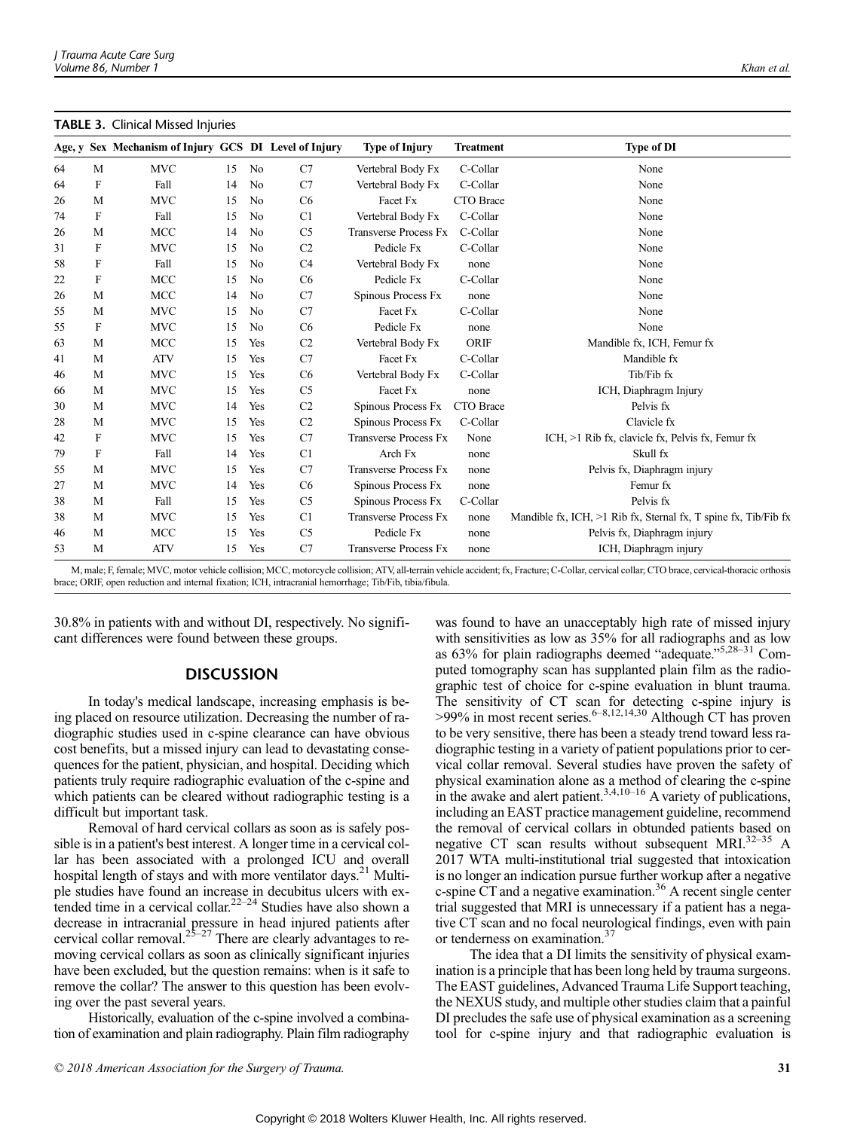| <b>TABLE 3. Clinical Missed Injuries</b> |                           |                                                       |    |                |                |                              |                  |                                                                 |
|------------------------------------------|---------------------------|-------------------------------------------------------|----|----------------|----------------|------------------------------|------------------|-----------------------------------------------------------------|
|                                          |                           | Age, y Sex Mechanism of Injury GCS DI Level of Injury |    |                |                | <b>Type of Injury</b>        | <b>Treatment</b> | <b>Type of DI</b>                                               |
| 64                                       | M                         | <b>MVC</b>                                            | 15 | N <sub>0</sub> | C7             | Vertebral Body Fx            | C-Collar         | None                                                            |
| 64                                       | F                         | Fall                                                  | 14 | N <sub>0</sub> | C7             | Vertebral Body Fx            | C-Collar         | None                                                            |
| 26                                       | M                         | <b>MVC</b>                                            | 15 | N <sub>0</sub> | C6             | Facet Fx                     | CTO Brace        | None                                                            |
| 74                                       | $\boldsymbol{\mathrm{F}}$ | Fall                                                  | 15 | No             | C <sub>1</sub> | Vertebral Body Fx            | C-Collar         | None                                                            |
| 26                                       | M                         | MCC                                                   | 14 | N <sub>0</sub> | C <sub>5</sub> | <b>Transverse Process Fx</b> | C-Collar         | None                                                            |
| 31                                       | $\boldsymbol{\mathrm{F}}$ | <b>MVC</b>                                            | 15 | No             | C <sub>2</sub> | Pedicle Fx                   | C-Collar         | None                                                            |
| 58                                       | F                         | Fall                                                  | 15 | N <sub>0</sub> | C <sub>4</sub> | Vertebral Body Fx            | none             | None                                                            |
| 22                                       | F                         | MCC                                                   | 15 | N <sub>0</sub> | C <sub>6</sub> | Pedicle Fx                   | C-Collar         | None                                                            |
| 26                                       | M                         | MCC                                                   | 14 | No             | C7             | Spinous Process Fx           | none             | None                                                            |
| 55                                       | M                         | <b>MVC</b>                                            | 15 | N <sub>0</sub> | C7             | Facet Fx                     | C-Collar         | None                                                            |
| 55                                       | F                         | <b>MVC</b>                                            | 15 | N <sub>0</sub> | C <sub>6</sub> | Pedicle Fx                   | none             | None                                                            |
| 63                                       | M                         | MCC                                                   | 15 | Yes            | C <sub>2</sub> | Vertebral Body Fx            | ORIF             | Mandible fx, ICH, Femur fx                                      |
| 41                                       | M                         | <b>ATV</b>                                            | 15 | Yes            | C7             | Facet Fx                     | C-Collar         | Mandible fx                                                     |
| 46                                       | M                         | <b>MVC</b>                                            | 15 | Yes            | C <sub>6</sub> | Vertebral Body Fx            | C-Collar         | Tib/Fib fx                                                      |
| 66                                       | M                         | <b>MVC</b>                                            | 15 | Yes            | C <sub>5</sub> | Facet Fx                     | none             | ICH, Diaphragm Injury                                           |
| 30                                       | M                         | <b>MVC</b>                                            | 14 | Yes            | C <sub>2</sub> | Spinous Process Fx           | CTO Brace        | Pelvis fx                                                       |
| 28                                       | M                         | <b>MVC</b>                                            | 15 | Yes            | C <sub>2</sub> | Spinous Process Fx           | C-Collar         | Clavicle fx                                                     |
| 42                                       | F                         | <b>MVC</b>                                            | 15 | Yes            | C7             | <b>Transverse Process Fx</b> | None             | ICH, >1 Rib fx, clavicle fx, Pelvis fx, Femur fx                |
| 79                                       | F                         | Fall                                                  | 14 | Yes            | C <sub>1</sub> | Arch Fx                      | none             | Skull fx                                                        |
| 55                                       | M                         | <b>MVC</b>                                            | 15 | Yes            | C7             | <b>Transverse Process Fx</b> | none             | Pelvis fx, Diaphragm injury                                     |
| 27                                       | M                         | <b>MVC</b>                                            | 14 | Yes            | C6             | Spinous Process Fx           | none             | Femur fx                                                        |
| 38                                       | M                         | Fall                                                  | 15 | Yes            | C <sub>5</sub> | Spinous Process Fx           | C-Collar         | Pelvis fx                                                       |
| 38                                       | M                         | <b>MVC</b>                                            | 15 | Yes            | C <sub>1</sub> | <b>Transverse Process Fx</b> | none             | Mandible fx, ICH, >1 Rib fx, Sternal fx, T spine fx, Tib/Fib fx |
| 46                                       | M                         | MCC                                                   | 15 | Yes            | C <sub>5</sub> | Pedicle Fx                   | none             | Pelvis fx, Diaphragm injury                                     |
| 53                                       | M                         | <b>ATV</b>                                            | 15 | Yes            | C7             | <b>Transverse Process Fx</b> | none             | ICH, Diaphragm injury                                           |

M, male; F, female; MVC, motor vehicle collision; MCC, motorcycle collision; ATV, all-terrain vehicle accident; fx, Fracture; C-Collar, cervical collar; CTO brace, cervical-thoracic orthosis brace; ORIF, open reduction and internal fixation; ICH, intracranial hemorrhage; Tib/Fib, tibia/fibula.

30.8% in patients with and without DI, respectively. No significant differences were found between these groups.

In today's medical landscape, increasing emphasis is being placed on resource utilization. Decreasing the number of radiographic studies used in c-spine clearance can have obvious cost benefits, but a missed injury can lead to devastating consequences for the patient, physician, and hospital. Deciding which patients truly require radiographic evaluation of the c-spine and which patients can be cleared without radiographic testing is a difficult but important task.

Removal of hard cervical collars as soon as is safely possible is in a patient's best interest. A longer time in a cervical collar has been associated with a prolonged ICU and overall hospital length of stays and with more ventilator days.<sup>21</sup> Multiple studies have found an increase in decubitus ulcers with extended time in a cervical collar.<sup>22–24</sup> Studies have also shown a decrease in intracranial pressure in head injured patients after cervical collar removal.<sup>25–27</sup> There are clearly advantages to removing cervical collars as soon as clinically significant injuries have been excluded, but the question remains: when is it safe to remove the collar? The answer to this question has been evolving over the past several years.

Historically, evaluation of the c-spine involved a combination of examination and plain radiography. Plain film radiography

was found to have an unacceptably high rate of missed injury with sensitivities as low as 35% for all radiographs and as low as 63% for plain radiographs deemed "adequate."5,28–<sup>31</sup> Computed tomography scan has supplanted plain film as the radiographic test of choice for c-spine evaluation in blunt trauma. The sensitivity of CT scan for detecting c-spine injury is >99% in most recent series.<sup>6–8,12,14,30</sup> Although CT has proven to be very sensitive, there has been a steady trend toward less radiographic testing in a variety of patient populations prior to cervical collar removal. Several studies have proven the safety of physical examination alone as a method of clearing the c-spine in the awake and alert patient.<sup>3,4,10–16</sup> A variety of publications, including an EAST practice management guideline, recommend the removal of cervical collars in obtunded patients based on negative CT scan results without subsequent MRI.<sup>32-35</sup> A 2017 WTA multi-institutional trial suggested that intoxication is no longer an indication pursue further workup after a negative c-spine CT and a negative examination.36 A recent single center trial suggested that MRI is unnecessary if a patient has a negative CT scan and no focal neurological findings, even with pain or tenderness on examination.<sup>37</sup>

The idea that a DI limits the sensitivity of physical examination is a principle that has been long held by trauma surgeons. The EAST guidelines, Advanced Trauma Life Support teaching, the NEXUS study, and multiple other studies claim that a painful DI precludes the safe use of physical examination as a screening tool for c-spine injury and that radiographic evaluation is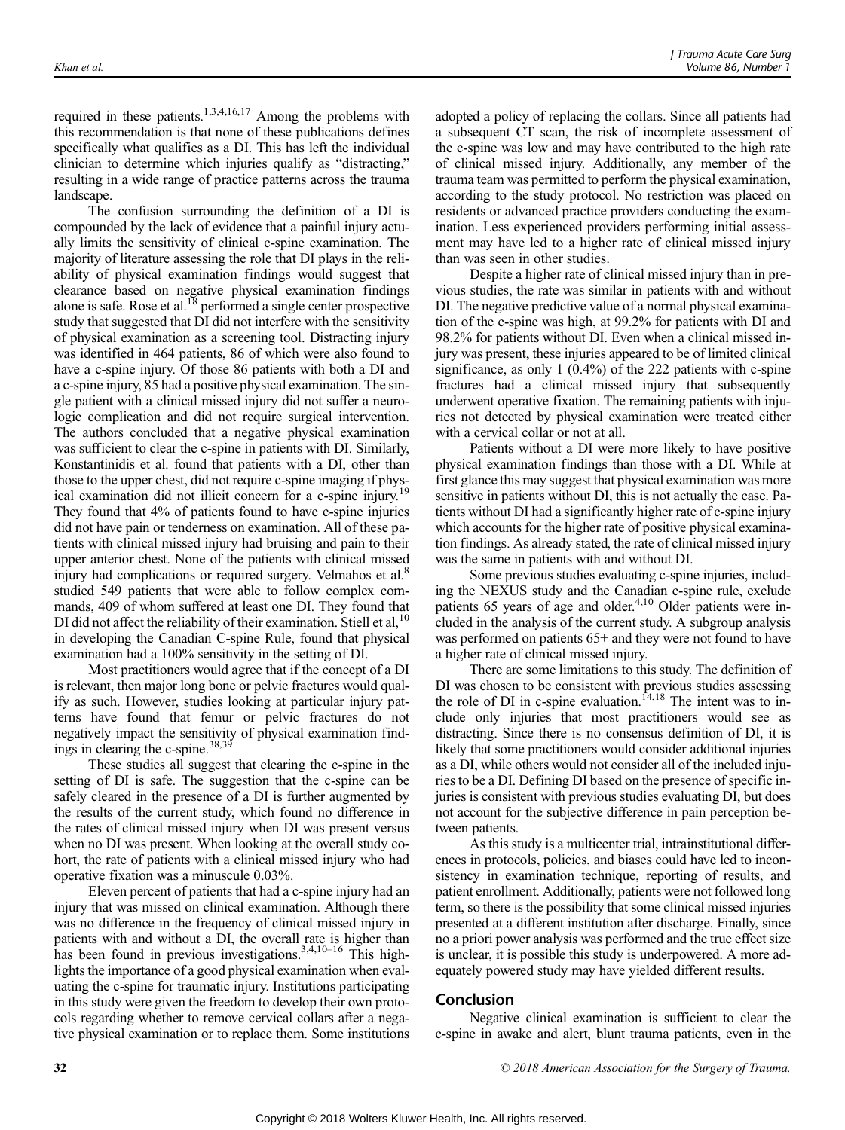required in these patients.<sup>1,3,4,16,17</sup> Among the problems with this recommendation is that none of these publications defines specifically what qualifies as a DI. This has left the individual clinician to determine which injuries qualify as "distracting," resulting in a wide range of practice patterns across the trauma landscape.

The confusion surrounding the definition of a DI is compounded by the lack of evidence that a painful injury actually limits the sensitivity of clinical c-spine examination. The majority of literature assessing the role that DI plays in the reliability of physical examination findings would suggest that clearance based on negative physical examination findings alone is safe. Rose et al.<sup>18</sup> performed a single center prospective study that suggested that DI did not interfere with the sensitivity of physical examination as a screening tool. Distracting injury was identified in 464 patients, 86 of which were also found to have a c-spine injury. Of those 86 patients with both a DI and a c-spine injury, 85 had a positive physical examination. The single patient with a clinical missed injury did not suffer a neurologic complication and did not require surgical intervention. The authors concluded that a negative physical examination was sufficient to clear the c-spine in patients with DI. Similarly, Konstantinidis et al. found that patients with a DI, other than those to the upper chest, did not require c-spine imaging if physical examination did not illicit concern for a c-spine injury.19 They found that 4% of patients found to have c-spine injuries did not have pain or tenderness on examination. All of these patients with clinical missed injury had bruising and pain to their upper anterior chest. None of the patients with clinical missed injury had complications or required surgery. Velmahos et al.<sup>8</sup> studied 549 patients that were able to follow complex commands, 409 of whom suffered at least one DI. They found that DI did not affect the reliability of their examination. Stiell et al,<sup>10</sup> in developing the Canadian C-spine Rule, found that physical examination had a 100% sensitivity in the setting of DI.

Most practitioners would agree that if the concept of a DI is relevant, then major long bone or pelvic fractures would qualify as such. However, studies looking at particular injury patterns have found that femur or pelvic fractures do not negatively impact the sensitivity of physical examination findings in clearing the c-spine.38,39

These studies all suggest that clearing the c-spine in the setting of DI is safe. The suggestion that the c-spine can be safely cleared in the presence of a DI is further augmented by the results of the current study, which found no difference in the rates of clinical missed injury when DI was present versus when no DI was present. When looking at the overall study cohort, the rate of patients with a clinical missed injury who had operative fixation was a minuscule 0.03%.

Eleven percent of patients that had a c-spine injury had an injury that was missed on clinical examination. Although there was no difference in the frequency of clinical missed injury in patients with and without a DI, the overall rate is higher than has been found in previous investigations.<sup>3,4,10–16</sup> This highlights the importance of a good physical examination when evaluating the c-spine for traumatic injury. Institutions participating in this study were given the freedom to develop their own protocols regarding whether to remove cervical collars after a negative physical examination or to replace them. Some institutions

adopted a policy of replacing the collars. Since all patients had a subsequent CT scan, the risk of incomplete assessment of the c-spine was low and may have contributed to the high rate of clinical missed injury. Additionally, any member of the trauma team was permitted to perform the physical examination, according to the study protocol. No restriction was placed on residents or advanced practice providers conducting the examination. Less experienced providers performing initial assessment may have led to a higher rate of clinical missed injury than was seen in other studies.

Despite a higher rate of clinical missed injury than in previous studies, the rate was similar in patients with and without DI. The negative predictive value of a normal physical examination of the c-spine was high, at 99.2% for patients with DI and 98.2% for patients without DI. Even when a clinical missed injury was present, these injuries appeared to be of limited clinical significance, as only 1 (0.4%) of the 222 patients with c-spine fractures had a clinical missed injury that subsequently underwent operative fixation. The remaining patients with injuries not detected by physical examination were treated either with a cervical collar or not at all.

Patients without a DI were more likely to have positive physical examination findings than those with a DI. While at first glance this may suggest that physical examination was more sensitive in patients without DI, this is not actually the case. Patients without DI had a significantly higher rate of c-spine injury which accounts for the higher rate of positive physical examination findings. As already stated, the rate of clinical missed injury was the same in patients with and without DI.

Some previous studies evaluating c-spine injuries, including the NEXUS study and the Canadian c-spine rule, exclude patients 65 years of age and older. $4,10$  Older patients were included in the analysis of the current study. A subgroup analysis was performed on patients 65+ and they were not found to have a higher rate of clinical missed injury.

There are some limitations to this study. The definition of DI was chosen to be consistent with previous studies assessing the role of DI in c-spine evaluation.<sup>14,18</sup> The intent was to include only injuries that most practitioners would see as distracting. Since there is no consensus definition of DI, it is likely that some practitioners would consider additional injuries as a DI, while others would not consider all of the included injuries to be a DI. Defining DI based on the presence of specific injuries is consistent with previous studies evaluating DI, but does not account for the subjective difference in pain perception between patients.

As this study is a multicenter trial, intrainstitutional differences in protocols, policies, and biases could have led to inconsistency in examination technique, reporting of results, and patient enrollment. Additionally, patients were not followed long term, so there is the possibility that some clinical missed injuries presented at a different institution after discharge. Finally, since no a priori power analysis was performed and the true effect size is unclear, it is possible this study is underpowered. A more adequately powered study may have yielded different results.

Negative clinical examination is sufficient to clear the c-spine in awake and alert, blunt trauma patients, even in the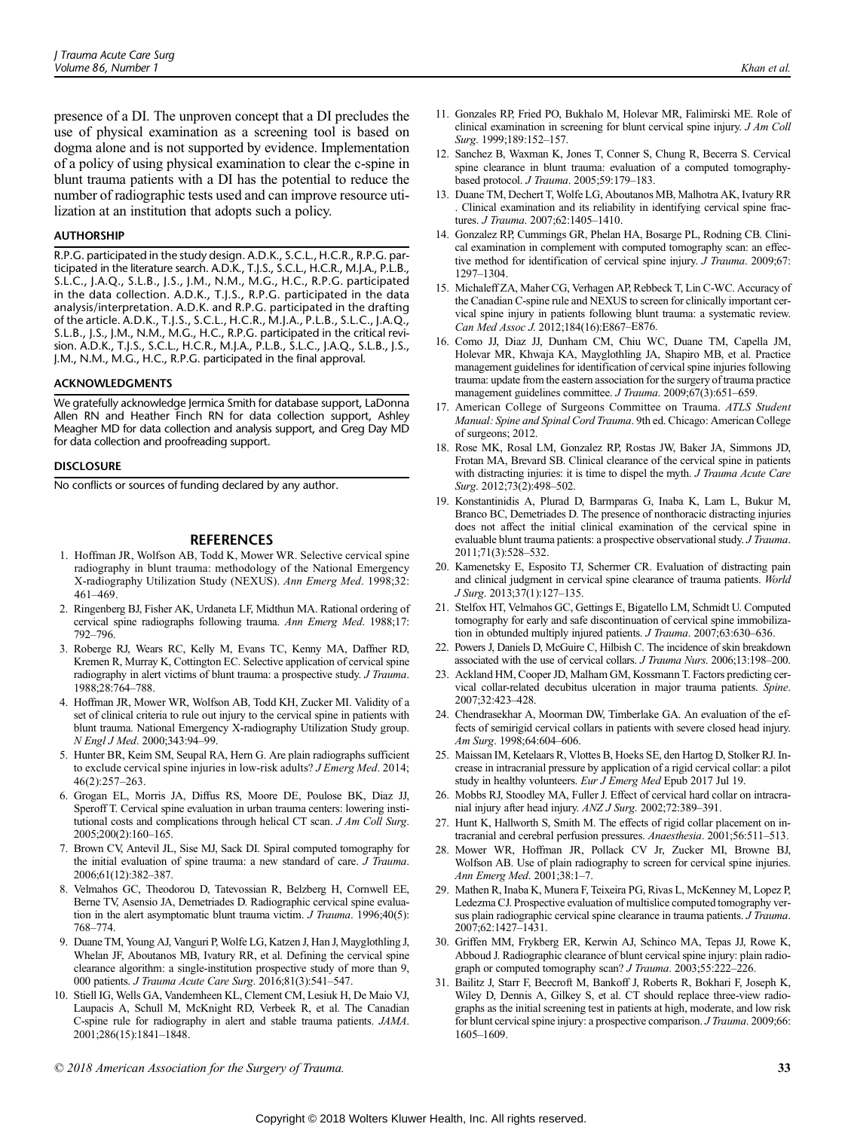presence of a DI. The unproven concept that a DI precludes the use of physical examination as a screening tool is based on dogma alone and is not supported by evidence. Implementation of a policy of using physical examination to clear the c-spine in blunt trauma patients with a DI has the potential to reduce the number of radiographic tests used and can improve resource utilization at an institution that adopts such a policy.

AUTHORSHIP R.P.G. participated in the study design. A.D.K., S.C.L., H.C.R., R.P.G. participated in the literature search. A.D.K., T.J.S., S.C.L., H.C.R., M.J.A., P.L.B., S.L.C., J.A.Q., S.L.B., J.S., J.M., N.M., M.G., H.C., R.P.G. participated in the data collection. A.D.K., T.J.S., R.P.G. participated in the data analysis/interpretation. A.D.K. and R.P.G. participated in the drafting of the article. A.D.K., T.J.S., S.C.L., H.C.R., M.J.A., P.L.B., S.L.C., J.A.Q., S.L.B., J.S., J.M., N.M., M.G., H.C., R.P.G. participated in the critical revision. A.D.K., T.J.S., S.C.L., H.C.R., M.J.A., P.L.B., S.L.C., J.A.Q., S.L.B., J.S., J.M., N.M., M.G., H.C., R.P.G. participated in the final approval.

we gratefully acknowledge Jermica Smith for database support, LaDonna Allen RN and Heather Finch RN for data collection support, Ashley Meagher MD for data collection and analysis support, and Greg Day MD for data collection and proofreading support.

**EXECLOSURE**<br>No conflicts or sources of funding declared by any author.

### **REFERENCES**

- 1. Hoffman JR, Wolfson AB, Todd K, Mower WR. Selective cervical spine radiography in blunt trauma: methodology of the National Emergency X-radiography Utilization Study (NEXUS). Ann Emerg Med. 1998;32: 461–469.
- 2. Ringenberg BJ, Fisher AK, Urdaneta LF, Midthun MA. Rational ordering of cervical spine radiographs following trauma. Ann Emerg Med. 1988;17: 792–796.
- 3. Roberge RJ, Wears RC, Kelly M, Evans TC, Kenny MA, Daffner RD, Kremen R, Murray K, Cottington EC. Selective application of cervical spine radiography in alert victims of blunt trauma: a prospective study. J Trauma. 1988;28:764–788.
- 4. Hoffman JR, Mower WR, Wolfson AB, Todd KH, Zucker MI. Validity of a set of clinical criteria to rule out injury to the cervical spine in patients with blunt trauma. National Emergency X-radiography Utilization Study group. N Engl J Med. 2000;343:94–99.
- 5. Hunter BR, Keim SM, Seupal RA, Hern G. Are plain radiographs sufficient to exclude cervical spine injuries in low-risk adults? *J Emerg Med.* 2014; 46(2):257–263.
- 6. Grogan EL, Morris JA, Diffus RS, Moore DE, Poulose BK, Diaz JJ, Speroff T. Cervical spine evaluation in urban trauma centers: lowering institutional costs and complications through helical CT scan. J Am Coll Surg. 2005;200(2):160–165.
- 7. Brown CV, Antevil JL, Sise MJ, Sack DI. Spiral computed tomography for the initial evaluation of spine trauma: a new standard of care. J Trauma. 2006;61(12):382–387.
- 8. Velmahos GC, Theodorou D, Tatevossian R, Belzberg H, Cornwell EE, Berne TV, Asensio JA, Demetriades D. Radiographic cervical spine evaluation in the alert asymptomatic blunt trauma victim. J Trauma. 1996;40(5): 768–774.
- 9. Duane TM, Young AJ, Vanguri P, Wolfe LG, Katzen J, Han J, Mayglothling J, Whelan JF, Aboutanos MB, Ivatury RR, et al. Defining the cervical spine clearance algorithm: a single-institution prospective study of more than 9, 000 patients. J Trauma Acute Care Surg. 2016;81(3):541–547.
- 10. Stiell IG, Wells GA, Vandemheen KL, Clement CM, Lesiuk H, De Maio VJ, Laupacis A, Schull M, McKnight RD, Verbeek R, et al. The Canadian C-spine rule for radiography in alert and stable trauma patients. JAMA. 2001;286(15):1841–1848.
- 11. Gonzales RP, Fried PO, Bukhalo M, Holevar MR, Falimirski ME. Role of clinical examination in screening for blunt cervical spine injury. J Am Coll Surg. 1999;189:152–157.
- 12. Sanchez B, Waxman K, Jones T, Conner S, Chung R, Becerra S. Cervical spine clearance in blunt trauma: evaluation of a computed tomographybased protocol. J Trauma. 2005;59:179–183.
- 13. Duane TM, Dechert T, Wolfe LG, Aboutanos MB, Malhotra AK, Ivatury RR . Clinical examination and its reliability in identifying cervical spine fractures. J Trauma. 2007;62:1405–1410.
- 14. Gonzalez RP, Cummings GR, Phelan HA, Bosarge PL, Rodning CB. Clinical examination in complement with computed tomography scan: an effective method for identification of cervical spine injury.  $\hat{J}$  Trauma. 2009;67: 1297–1304.
- 15. Michaleff ZA, Maher CG, Verhagen AP, Rebbeck T, Lin C-WC. Accuracy of the Canadian C-spine rule and NEXUS to screen for clinically important cervical spine injury in patients following blunt trauma: a systematic review. Can Med Assoc J. 2012;184(16):E867–E876.
- 16. Como JJ, Diaz JJ, Dunham CM, Chiu WC, Duane TM, Capella JM, Holevar MR, Khwaja KA, Mayglothling JA, Shapiro MB, et al. Practice management guidelines for identification of cervical spine injuries following trauma: update from the eastern association for the surgery of trauma practice management guidelines committee. *J Trauma*. 2009;67(3):651–659.
- 17. American College of Surgeons Committee on Trauma. ATLS Student Manual: Spine and Spinal Cord Trauma. 9th ed. Chicago: American College of surgeons; 2012.
- 18. Rose MK, Rosal LM, Gonzalez RP, Rostas JW, Baker JA, Simmons JD, Frotan MA, Brevard SB. Clinical clearance of the cervical spine in patients with distracting injuries: it is time to dispel the myth. J Trauma Acute Care Surg. 2012;73(2):498–502.
- 19. Konstantinidis A, Plurad D, Barmparas G, Inaba K, Lam L, Bukur M, Branco BC, Demetriades D. The presence of nonthoracic distracting injuries does not affect the initial clinical examination of the cervical spine in evaluable blunt trauma patients: a prospective observational study. J Trauma. 2011;71(3):528–532.
- 20. Kamenetsky E, Esposito TJ, Schermer CR. Evaluation of distracting pain and clinical judgment in cervical spine clearance of trauma patients. World J Surg. 2013;37(1):127–135.
- 21. Stelfox HT, Velmahos GC, Gettings E, Bigatello LM, Schmidt U. Computed tomography for early and safe discontinuation of cervical spine immobilization in obtunded multiply injured patients. J Trauma. 2007;63:630–636.
- 22. Powers J, Daniels D, McGuire C, Hilbish C. The incidence of skin breakdown associated with the use of cervical collars. J Trauma Nurs. 2006;13:198–200.
- 23. Ackland HM, Cooper JD, Malham GM, Kossmann T. Factors predicting cervical collar-related decubitus ulceration in major trauma patients. Spine. 2007;32:423–428.
- 24. Chendrasekhar A, Moorman DW, Timberlake GA. An evaluation of the effects of semirigid cervical collars in patients with severe closed head injury. Am Surg. 1998;64:604–606.
- 25. Maissan IM, Ketelaars R, Vlottes B, Hoeks SE, den Hartog D, Stolker RJ. Increase in intracranial pressure by application of a rigid cervical collar: a pilot study in healthy volunteers. Eur J Emerg Med Epub 2017 Jul 19.
- 26. Mobbs RJ, Stoodley MA, Fuller J. Effect of cervical hard collar on intracranial injury after head injury. ANZ J Surg. 2002;72:389–391.
- 27. Hunt K, Hallworth S, Smith M. The effects of rigid collar placement on intracranial and cerebral perfusion pressures. Anaesthesia. 2001;56:511–513.
- 28. Mower WR, Hoffman JR, Pollack CV Jr, Zucker MI, Browne BJ, Wolfson AB. Use of plain radiography to screen for cervical spine injuries. Ann Emerg Med. 2001;38:1–7.
- 29. Mathen R, Inaba K, Munera F, Teixeira PG, Rivas L, McKenney M, Lopez P, Ledezma CJ. Prospective evaluation of multislice computed tomography versus plain radiographic cervical spine clearance in trauma patients. J Trauma. 2007;62:1427–1431.
- 30. Griffen MM, Frykberg ER, Kerwin AJ, Schinco MA, Tepas JJ, Rowe K, Abboud J. Radiographic clearance of blunt cervical spine injury: plain radiograph or computed tomography scan? J Trauma. 2003;55:222–226.
- 31. Bailitz J, Starr F, Beecroft M, Bankoff J, Roberts R, Bokhari F, Joseph K, Wiley D, Dennis A, Gilkey S, et al. CT should replace three-view radiographs as the initial screening test in patients at high, moderate, and low risk for blunt cervical spine injury: a prospective comparison. J Trauma. 2009;66: 1605–1609.

© 2018 American Association for the Surgery of Trauma. 33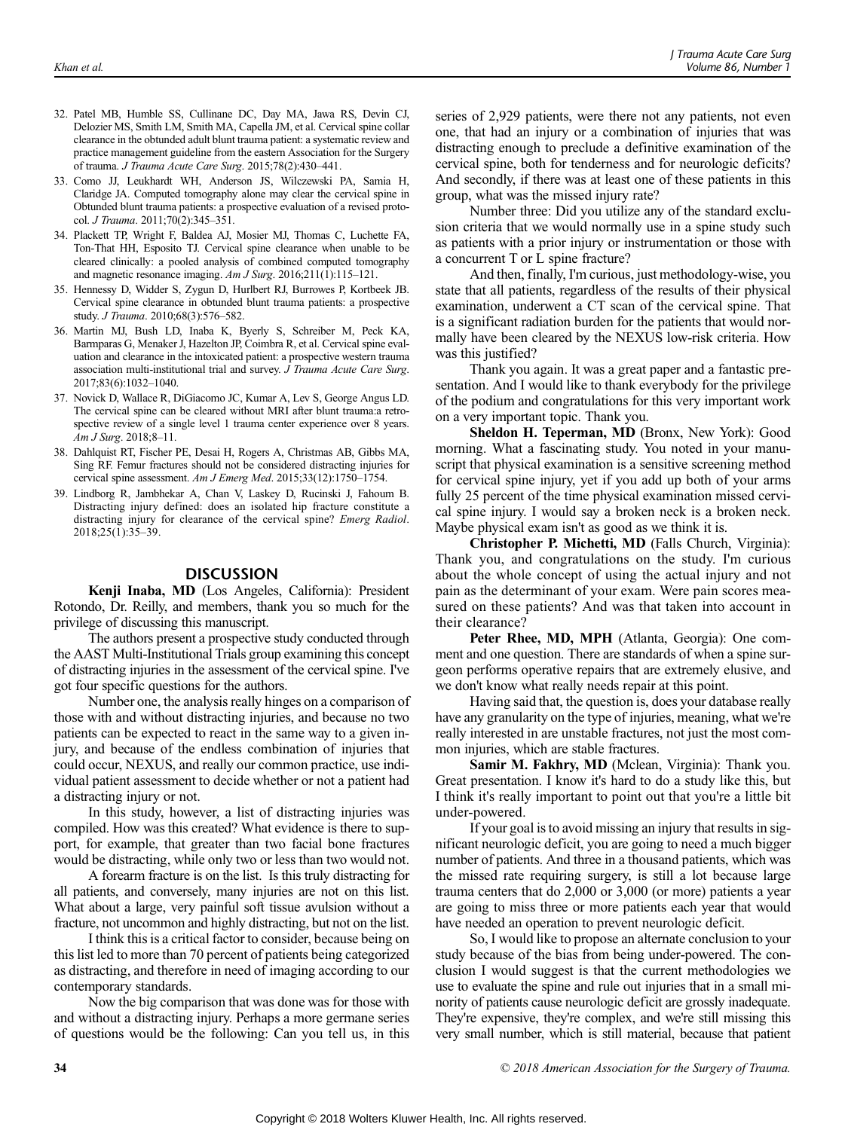- 32. Patel MB, Humble SS, Cullinane DC, Day MA, Jawa RS, Devin CJ, Delozier MS, Smith LM, Smith MA, Capella JM, et al. Cervical spine collar clearance in the obtunded adult blunt trauma patient: a systematic review and practice management guideline from the eastern Association for the Surgery of trauma. J Trauma Acute Care Surg. 2015;78(2):430–441.
- 33. Como JJ, Leukhardt WH, Anderson JS, Wilczewski PA, Samia H, Claridge JA. Computed tomography alone may clear the cervical spine in Obtunded blunt trauma patients: a prospective evaluation of a revised protocol. J Trauma. 2011;70(2):345–351.
- 34. Plackett TP, Wright F, Baldea AJ, Mosier MJ, Thomas C, Luchette FA, Ton-That HH, Esposito TJ. Cervical spine clearance when unable to be cleared clinically: a pooled analysis of combined computed tomography and magnetic resonance imaging. Am J Surg.  $2016;211(1):115-121$ .
- 35. Hennessy D, Widder S, Zygun D, Hurlbert RJ, Burrowes P, Kortbeek JB. Cervical spine clearance in obtunded blunt trauma patients: a prospective study. J Trauma. 2010;68(3):576–582.
- 36. Martin MJ, Bush LD, Inaba K, Byerly S, Schreiber M, Peck KA, Barmparas G, Menaker J, Hazelton JP, Coimbra R, et al. Cervical spine evaluation and clearance in the intoxicated patient: a prospective western trauma association multi-institutional trial and survey. J Trauma Acute Care Surg. 2017;83(6):1032–1040.
- 37. Novick D, Wallace R, DiGiacomo JC, Kumar A, Lev S, George Angus LD. The cervical spine can be cleared without MRI after blunt trauma:a retrospective review of a single level 1 trauma center experience over 8 years. Am J Surg. 2018;8–11.
- 38. Dahlquist RT, Fischer PE, Desai H, Rogers A, Christmas AB, Gibbs MA, Sing RF. Femur fractures should not be considered distracting injuries for cervical spine assessment. Am J Emerg Med. 2015;33(12):1750–1754.
- 39. Lindborg R, Jambhekar A, Chan V, Laskey D, Rucinski J, Fahoum B. Distracting injury defined: does an isolated hip fracture constitute a distracting injury for clearance of the cervical spine? Emerg Radiol. 2018;25(1):35–39.

# **DISCUSSION**

Kenji Inaba, MD (Los Angeles, California): President Rotondo, Dr. Reilly, and members, thank you so much for the privilege of discussing this manuscript.

The authors present a prospective study conducted through the AAST Multi-Institutional Trials group examining this concept of distracting injuries in the assessment of the cervical spine. I've got four specific questions for the authors.

Number one, the analysis really hinges on a comparison of those with and without distracting injuries, and because no two patients can be expected to react in the same way to a given injury, and because of the endless combination of injuries that could occur, NEXUS, and really our common practice, use individual patient assessment to decide whether or not a patient had a distracting injury or not.

In this study, however, a list of distracting injuries was compiled. How was this created? What evidence is there to support, for example, that greater than two facial bone fractures would be distracting, while only two or less than two would not.

A forearm fracture is on the list. Is this truly distracting for all patients, and conversely, many injuries are not on this list. What about a large, very painful soft tissue avulsion without a fracture, not uncommon and highly distracting, but not on the list.

I think this is a critical factor to consider, because being on this list led to more than 70 percent of patients being categorized as distracting, and therefore in need of imaging according to our contemporary standards.

Now the big comparison that was done was for those with and without a distracting injury. Perhaps a more germane series of questions would be the following: Can you tell us, in this series of 2,929 patients, were there not any patients, not even one, that had an injury or a combination of injuries that was distracting enough to preclude a definitive examination of the cervical spine, both for tenderness and for neurologic deficits? And secondly, if there was at least one of these patients in this group, what was the missed injury rate?

Number three: Did you utilize any of the standard exclusion criteria that we would normally use in a spine study such as patients with a prior injury or instrumentation or those with a concurrent T or L spine fracture?

And then, finally, I'm curious, just methodology-wise, you state that all patients, regardless of the results of their physical examination, underwent a CT scan of the cervical spine. That is a significant radiation burden for the patients that would normally have been cleared by the NEXUS low-risk criteria. How was this justified?

Thank you again. It was a great paper and a fantastic presentation. And I would like to thank everybody for the privilege of the podium and congratulations for this very important work on a very important topic. Thank you.

Sheldon H. Teperman, MD (Bronx, New York): Good morning. What a fascinating study. You noted in your manuscript that physical examination is a sensitive screening method for cervical spine injury, yet if you add up both of your arms fully 25 percent of the time physical examination missed cervical spine injury. I would say a broken neck is a broken neck. Maybe physical exam isn't as good as we think it is.

Christopher P. Michetti, MD (Falls Church, Virginia): Thank you, and congratulations on the study. I'm curious about the whole concept of using the actual injury and not pain as the determinant of your exam. Were pain scores measured on these patients? And was that taken into account in their clearance?

Peter Rhee, MD, MPH (Atlanta, Georgia): One comment and one question. There are standards of when a spine surgeon performs operative repairs that are extremely elusive, and we don't know what really needs repair at this point.

Having said that, the question is, does your database really have any granularity on the type of injuries, meaning, what we're really interested in are unstable fractures, not just the most common injuries, which are stable fractures.

Samir M. Fakhry, MD (Mclean, Virginia): Thank you. Great presentation. I know it's hard to do a study like this, but I think it's really important to point out that you're a little bit under-powered.

If your goal is to avoid missing an injury that results in significant neurologic deficit, you are going to need a much bigger number of patients. And three in a thousand patients, which was the missed rate requiring surgery, is still a lot because large trauma centers that do 2,000 or 3,000 (or more) patients a year are going to miss three or more patients each year that would have needed an operation to prevent neurologic deficit.

So, I would like to propose an alternate conclusion to your study because of the bias from being under-powered. The conclusion I would suggest is that the current methodologies we use to evaluate the spine and rule out injuries that in a small minority of patients cause neurologic deficit are grossly inadequate. They're expensive, they're complex, and we're still missing this very small number, which is still material, because that patient